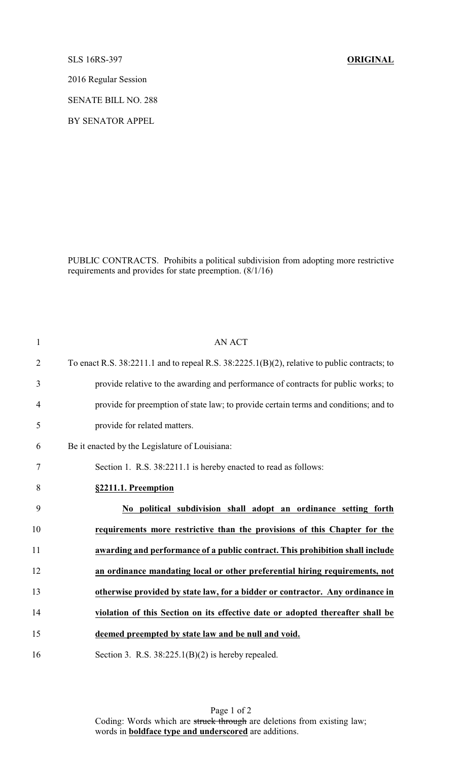SLS 16RS-397 **ORIGINAL**

2016 Regular Session

SENATE BILL NO. 288

BY SENATOR APPEL

PUBLIC CONTRACTS. Prohibits a political subdivision from adopting more restrictive requirements and provides for state preemption. (8/1/16)

| $\mathbf{1}$   | <b>AN ACT</b>                                                                                |
|----------------|----------------------------------------------------------------------------------------------|
| $\overline{c}$ | To enact R.S. 38:2211.1 and to repeal R.S. 38:2225.1(B)(2), relative to public contracts; to |
| 3              | provide relative to the awarding and performance of contracts for public works; to           |
| $\overline{4}$ | provide for preemption of state law; to provide certain terms and conditions; and to         |
| 5              | provide for related matters.                                                                 |
| 6              | Be it enacted by the Legislature of Louisiana:                                               |
| 7              | Section 1. R.S. 38:2211.1 is hereby enacted to read as follows:                              |
| 8              | §2211.1. Preemption                                                                          |
| 9              | No political subdivision shall adopt an ordinance setting forth                              |
| 10             | requirements more restrictive than the provisions of this Chapter for the                    |
| 11             | awarding and performance of a public contract. This prohibition shall include                |
| 12             | an ordinance mandating local or other preferential hiring requirements, not                  |
| 13             | otherwise provided by state law, for a bidder or contractor. Any ordinance in                |
| 14             | violation of this Section on its effective date or adopted thereafter shall be               |
| 15             | deemed preempted by state law and be null and void.                                          |
|                |                                                                                              |